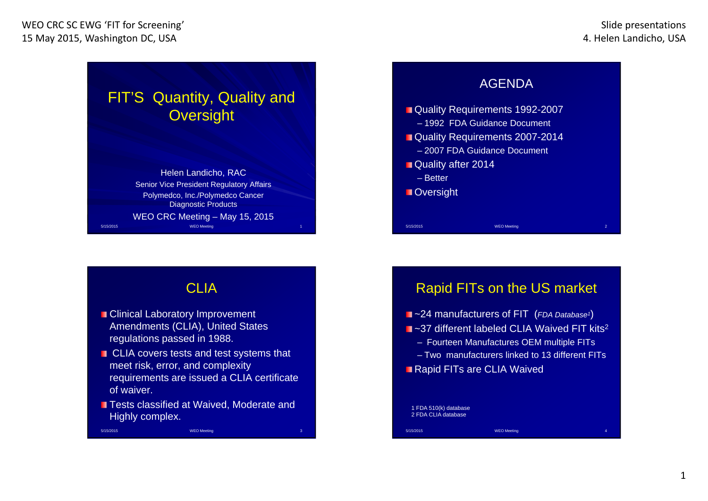5/15/2015



#### AGENDA

- **Quality Requirements 1992-2007**
- 1992 FDA Guidance Document
- Quality Requirements 2007-2014
	- 2007 FDA Guidance Document
- Quality after 2014
	- Better

5/15/2015

**Oversight** 

## CLIA

- **Clinical Laboratory Improvement** Amendments (CLIA), United States regulations passed in 1988.
- CLIA covers tests and test systems that meet risk, error, and complexity requirements are issued a CLIA certificate of waiver.
- **Tests classified at Waived. Moderate and** Highly complex.

**WEO Meeting 3** 2008 12:00:00 12:00:00 20:00:00 20:00:00 3

### Rapid FITs on the US market

WEO Meeting

- ~24 manufacturers of FIT (*FDA Database1*)
- ~37 different labeled CLIA Waived FIT kits<sup>2</sup>
	- Fourteen Manufactures OEM multiple FITs

WFO Meeting

- Two manufacturers linked to 13 different FITs
- **Rapid FITs are CLIA Waived**

#### 1 FDA 510(k) database 2 FDA CLIA database

5/15/2015

1